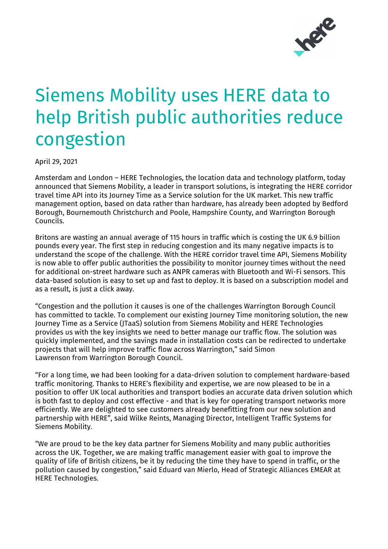

## Siemens Mobility uses HERE data to help British public authorities reduce congestion

April 29, 2021

Amsterdam and London – HERE Technologies, the location data and technology platform, today announced that Siemens Mobility, a leader in transport solutions, is integrating the HERE corridor travel time API into its Journey Time as a Service solution for the UK market. This new traffic management option, based on data rather than hardware, has already been adopted by Bedford Borough, Bournemouth Christchurch and Poole, Hampshire County, and Warrington Borough Councils.

Britons are wasting an annual average of 115 hours in traffic which is costing the UK 6.9 billion pounds every year. The first step in reducing congestion and its many negative impacts is to understand the scope of the challenge. With the HERE corridor travel time API, Siemens Mobility is now able to offer public authorities the possibility to monitor journey times without the need for additional on-street hardware such as ANPR cameras with Bluetooth and Wi-Fi sensors. This data-based solution is easy to set up and fast to deploy. It is based on a subscription model and as a result, is just a click away.

"Congestion and the pollution it causes is one of the challenges Warrington Borough Council has committed to tackle. To complement our existing Journey Time monitoring solution, the new Journey Time as a Service (JTaaS) solution from Siemens Mobility and HERE Technologies provides us with the key insights we need to better manage our traffic flow. The solution was quickly implemented, and the savings made in installation costs can be redirected to undertake projects that will help improve traffic flow across Warrington," said Simon Lawrenson from Warrington Borough Council.

"For a long time, we had been looking for a data-driven solution to complement hardware-based traffic monitoring. Thanks to HERE's flexibility and expertise, we are now pleased to be in a position to offer UK local authorities and transport bodies an accurate data driven solution which is both fast to deploy and cost effective - and that is key for operating transport networks more efficiently. We are delighted to see customers already benefitting from our new solution and partnership with HERE", said Wilke Reints, Managing Director, Intelligent Traffic Systems for Siemens Mobility.

"We are proud to be the key data partner for Siemens Mobility and many public authorities across the UK. Together, we are making traffic management easier with goal to improve the quality of life of British citizens, be it by reducing the time they have to spend in traffic, or the pollution caused by congestion," said Eduard van Mierlo, Head of Strategic Alliances EMEAR at HERE Technologies.